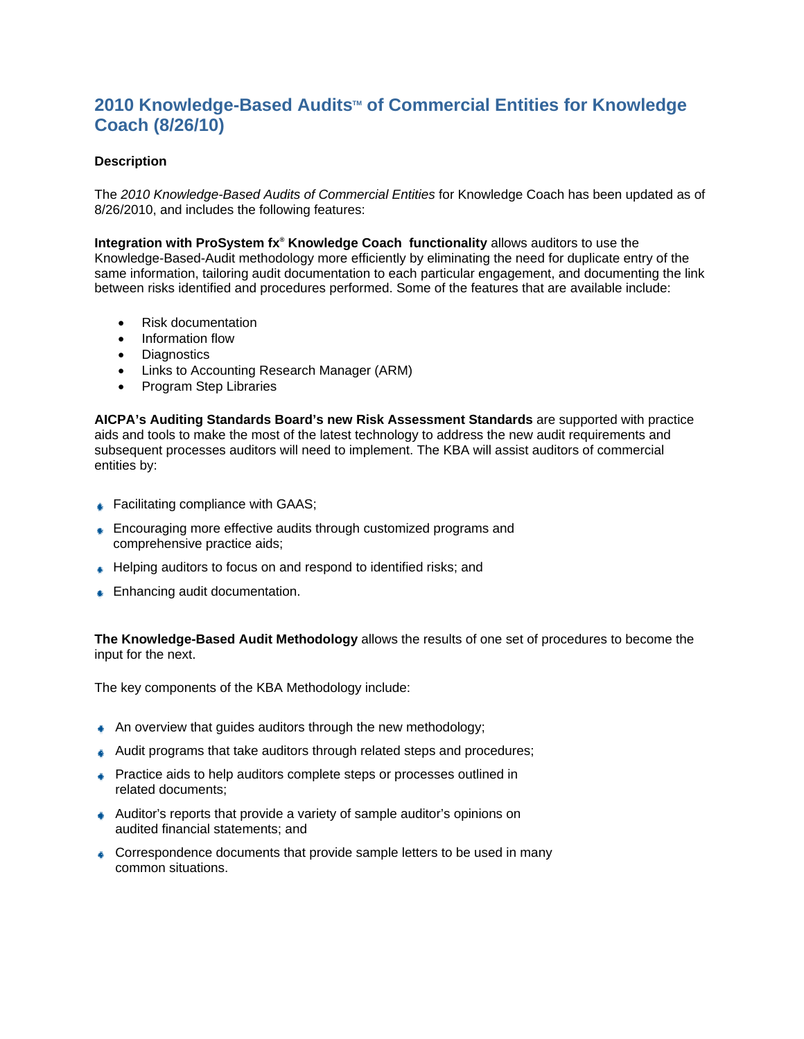## **2010 Knowledge-Based Audits™ of Commercial Entities for Knowledge Coach (8/26/10)**

## **Description**

The *2010 Knowledge-Based Audits of Commercial Entities* for Knowledge Coach has been updated as of 8/26/2010, and includes the following features:

**Integration with ProSystem fx<sup>®</sup> Knowledge Coach functionality allows auditors to use the** Knowledge-Based-Audit methodology more efficiently by eliminating the need for duplicate entry of the same information, tailoring audit documentation to each particular engagement, and documenting the link between risks identified and procedures performed. Some of the features that are available include:

- Risk documentation
- Information flow
- Diagnostics
- Links to Accounting Research Manager (ARM)
- Program Step Libraries

**AICPA's Auditing Standards Board's new Risk Assessment Standards** are supported with practice aids and tools to make the most of the latest technology to address the new audit requirements and subsequent processes auditors will need to implement. The KBA will assist auditors of commercial entities by:

- **Eacilitating compliance with GAAS;**
- **Encouraging more effective audits through customized programs and** comprehensive practice aids;
- ↓ Helping auditors to focus on and respond to identified risks; and
- **Enhancing audit documentation.**

**The Knowledge-Based Audit Methodology** allows the results of one set of procedures to become the input for the next.

The key components of the KBA Methodology include:

- An overview that quides auditors through the new methodology;
- Audit programs that take auditors through related steps and procedures;
- **Practice aids to help auditors complete steps or processes outlined in** related documents;
- Auditor's reports that provide a variety of sample auditor's opinions on audited financial statements; and
- Correspondence documents that provide sample letters to be used in many common situations.